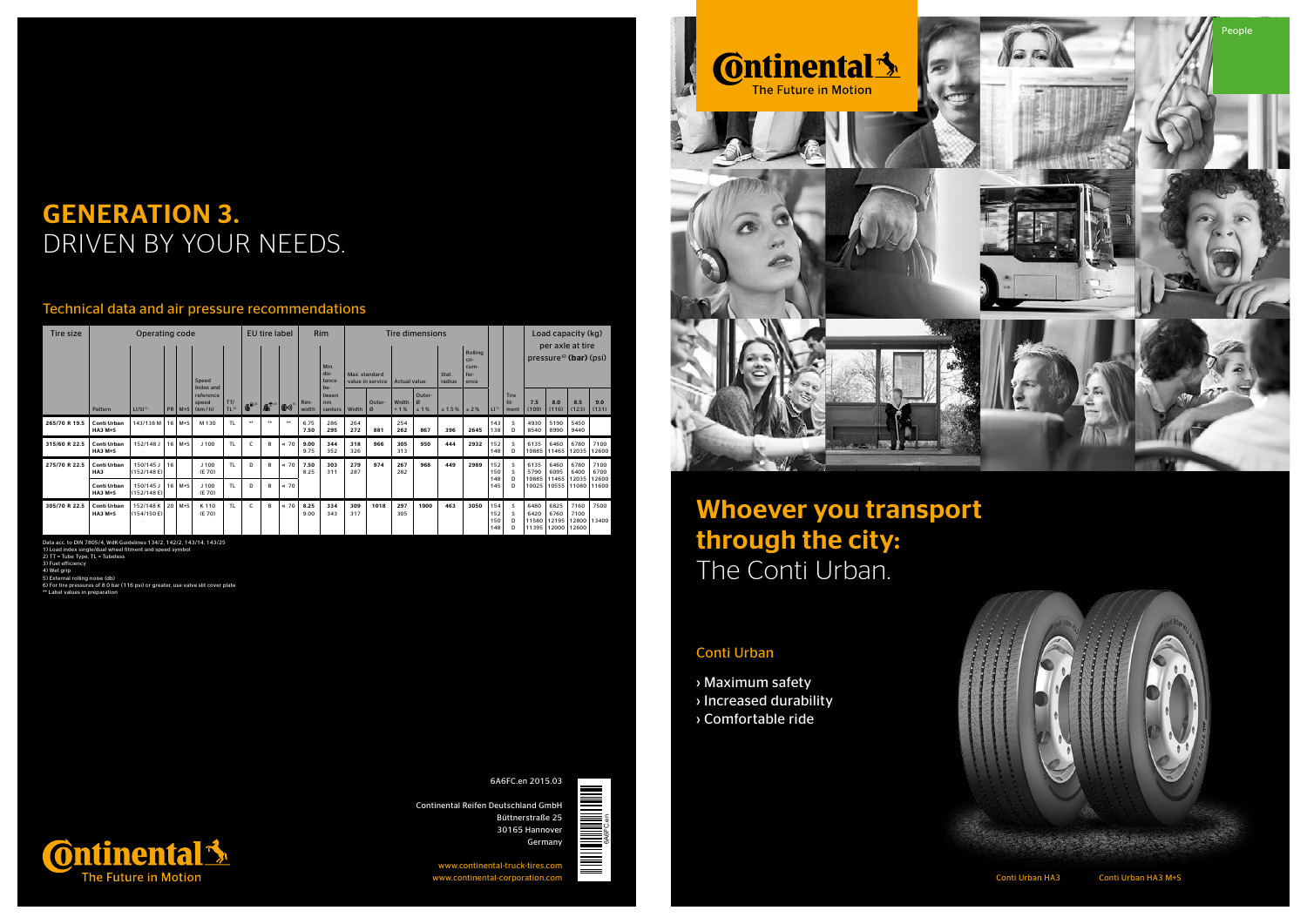# GENERATION 3. DRIVEN BY YOUR NEEDS.

6A6FC.en

<u>Martin Albert III als annoyens an am Barbor ann an Stàitean an Dùbhlachadh ann an Dùbhlachadh ann an 1974.</u>



Continental Reifen Deutschland GmbH Büttnerstraße 25 30165 Hannover Germany



| Tire size     | Operating code                |                         |    |          |                              | <b>EU tire label</b>   |           |                        | <b>Rim</b>                      |               | <b>Tire dimensions</b><br>Rolling |                                                          |             |                 |                              |        |      | Load capacity (kg)<br>per axle at tire |                             |                                |                                |                                |                |
|---------------|-------------------------------|-------------------------|----|----------|------------------------------|------------------------|-----------|------------------------|---------------------------------|---------------|-----------------------------------|----------------------------------------------------------|-------------|-----------------|------------------------------|--------|------|----------------------------------------|-----------------------------|--------------------------------|--------------------------------|--------------------------------|----------------|
|               |                               |                         |    |          | Speed<br>Index and           |                        |           |                        |                                 |               | Min.<br>dis-<br>tance<br>be-      | Max. standard<br>value in service<br><b>Actual value</b> |             | Stat.<br>radius | cir-<br>cum-<br>fer-<br>ence |        |      | presure <sup>6)</sup> (bar) (psi)      |                             |                                |                                |                                |                |
|               | Pattern                       | LI/SI <sup>1</sup>      |    | PR   M+S | reference<br>speed<br>(km/h) | TT/<br>TL <sup>2</sup> | n2 (b) 3) | $=$ $\frac{1}{2(1-4)}$ | $(\mathbb{C}^{\mathbb{J}})^{5}$ | Rim-<br>width | tween<br>rim<br>centers           | Width                                                    | Outer-<br>Ø | Width<br>$+1%$  | Outer-<br>Ø<br>±1%           | ± 1.5% | ±2%  | $LI^{(1)}$                             | <b>Tire</b><br>fit-<br>ment | 7.5<br>(109)                   | 8.0<br>(116)                   | 8.5<br>(123)                   | 9.0<br>(131)   |
| 265/70 R 19.5 | <b>Conti Urban</b><br>HA3 M+S | 143/138 M               |    | $16$ M+S | M 130                        | <b>TL</b>              | $**$      | $**$                   | $\star\star$                    | 6.75<br>7.50  | 286<br>295                        | 264<br>272                                               | 881         | 254<br>262      | 867                          | 396    | 2645 | 143<br>138                             | -S<br>D                     | 4930<br>8540                   | 5190<br>8990                   | 5450<br>9440                   |                |
| 315/60 R 22.5 | <b>Conti Urban</b><br>HA3 M+S | 152/148 J               |    | $16$ M+S | J100                         | TL.                    | C         | в                      | 070                             | 9.00<br>9.75  | 344<br>352                        | 318<br>326                                               | 966         | 305<br>313      | 950                          | 444    | 2932 | 152<br>148                             | s<br>D                      | 6135<br>10885                  | 6460<br>11465                  | 6780<br>12035                  | 7100<br>12600  |
| 275/70 R 22.5 | Conti Urban<br>HA3            | 150/145J<br>(152/148E)  | 16 |          | J100<br>(E 70)               | TL.                    | D         | B                      | 070                             | 7.50<br>8.25  | 303<br>311                        | 279<br>287                                               | 974         | 267<br>282      | 968                          | 449    | 2989 | 152<br>150                             | -S<br>-S                    | 6135<br>5790                   | 6460<br>6095                   | 6780<br>6400                   | 7100<br>6700   |
|               | <b>Conti Urban</b><br>HA3 M+S | 150/145 J<br>(152/148E) |    | $16$ M+S | J100<br>(E 70)               | <b>TL</b>              | D         | в                      | 070                             |               |                                   |                                                          |             |                 |                              |        |      | 148<br>145                             | D<br>D                      | 10885<br>10025                 | 11465<br>10555                 | 12035<br>11080                 | 12600<br>11600 |
| 305/70 R 22.5 | <b>Conti Urban</b><br>HA3 M+S | 152/148K<br>(154/150E)  |    | $20$ M+S | K110<br>(E 70)               | TL.                    | C.        | B                      | 070                             | 8.25<br>9.00  | 334<br>343                        | 309<br>317                                               | 1018        | 297<br>305      | 1000                         | 463    | 3050 | 154<br>152<br>150<br>148               | s<br>S<br>D<br>D            | 6480<br>6420<br>11580<br>11395 | 6825<br>6760<br>12195<br>12000 | 7160<br>7100<br>12800<br>12600 | 7500<br>13400  |

805/4, WdK-Guidelines 134/2, 142/2, 143/14, 143/25 dual wheel fitment and speed sy





2) TT = Tube Type, TL = Tubeless

3) Fuel efficiency

4) Wet grip

5) External rolling noise (db) 6) For tire pressures of 8.0 bar (116 psi) or greater, use valve slit cover plate \*\* Label values in preparation

**Ontinental S** 

The Future in Motion

## Technical data and air pressure recommendations

Conti Urban HA3 Conti Urban HA3 M+S